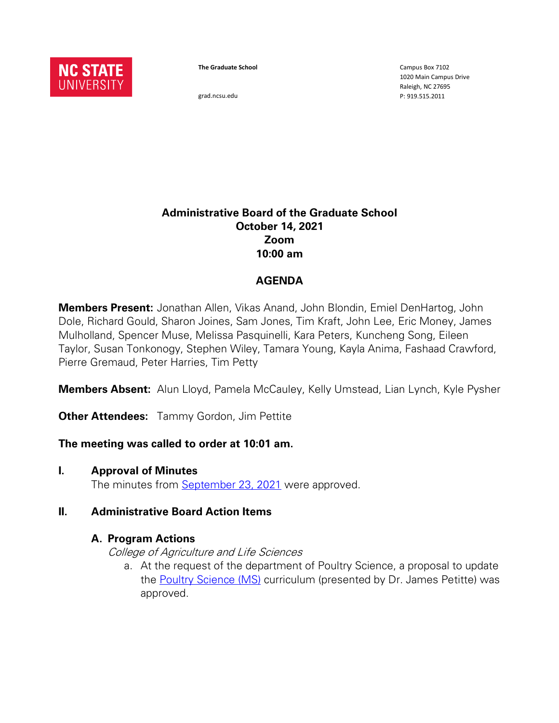

**The Graduate School**

grad.ncsu.edu

Campus Box 7102 1020 Main Campus Drive Raleigh, NC 27695 P: 919.515.2011

### **Administrative Board of the Graduate School October 14, 2021 Zoom 10:00 am**

### **AGENDA**

**Members Present:** Jonathan Allen, Vikas Anand, John Blondin, Emiel DenHartog, John Dole, Richard Gould, Sharon Joines, Sam Jones, Tim Kraft, John Lee, Eric Money, James Mulholland, Spencer Muse, Melissa Pasquinelli, Kara Peters, Kuncheng Song, Eileen Taylor, Susan Tonkonogy, Stephen Wiley, Tamara Young, Kayla Anima, Fashaad Crawford, Pierre Gremaud, Peter Harries, Tim Petty

**Members Absent:** Alun Lloyd, Pamela McCauley, Kelly Umstead, Lian Lynch, Kyle Pysher

**Other Attendees:** Tammy Gordon, Jim Pettite

### **The meeting was called to order at 10:01 am.**

**I. Approval of Minutes**

The minutes from [September 23, 2021](https://drive.google.com/file/d/1zRixDEDiyg7IGa0xYH5xLTXPzLcat77O/view?usp=sharing) were approved.

### **II. Administrative Board Action Items**

### **A. Program Actions**

College of Agriculture and Life Sciences

a. At the request of the department of Poultry Science, a proposal to update the **Poultry Science (MS)** curriculum (presented by Dr. James Petitte) was approved.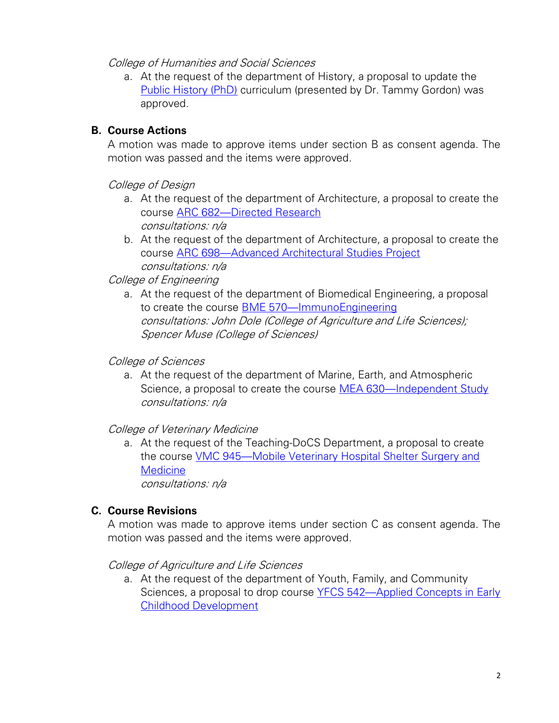College of Humanities and Social Sciences

a. At the request of the department of History, a proposal to update the [Public History \(PhD\)](https://next-catalog.ncsu.edu/programadmin/?key=561) curriculum (presented by Dr. Tammy Gordon) was approved.

# **B. Course Actions**

A motion was made to approve items under section B as consent agenda. The motion was passed and the items were approved.

## College of Design

- a. At the request of the department of Architecture, a proposal to create the course ARC 682—[Directed Research](https://next-catalog.ncsu.edu/courseadmin/?key=22898) consultations: n/a
- b. At the request of the department of Architecture, a proposal to create the course ARC 698—[Advanced Architectural Studies Project](https://next-catalog.ncsu.edu/courseadmin/?key=23010) consultations: n/a

# College of Engineering

a. At the request of the department of Biomedical Engineering, a proposal to create the course BME 570—[ImmunoEngineering](https://next-catalog.ncsu.edu/courseadmin/?key=26671) consultations: John Dole (College of Agriculture and Life Sciences); Spencer Muse (College of Sciences)

## College of Sciences

a. At the request of the department of Marine, Earth, and Atmospheric Science, a proposal to create the course MEA 630—[Independent Study](https://next-catalog.ncsu.edu/courseadmin/?key=26070) consultations: n/a

College of Veterinary Medicine

a. At the request of the Teaching-DoCS Department, a proposal to create the course VMC 945—[Mobile Veterinary Hospital Shelter Surgery and](https://next-catalog.ncsu.edu/courseadmin/?key=26756)  **[Medicine](https://next-catalog.ncsu.edu/courseadmin/?key=26756)** consultations: n/a

# **C. Course Revisions**

A motion was made to approve items under section C as consent agenda. The motion was passed and the items were approved.

### College of Agriculture and Life Sciences

a. At the request of the department of Youth, Family, and Community Sciences, a proposal to drop course YFCS 542—[Applied Concepts in Early](https://next-catalog.ncsu.edu/courseadmin/?key=10315)  [Childhood Development](https://next-catalog.ncsu.edu/courseadmin/?key=10315)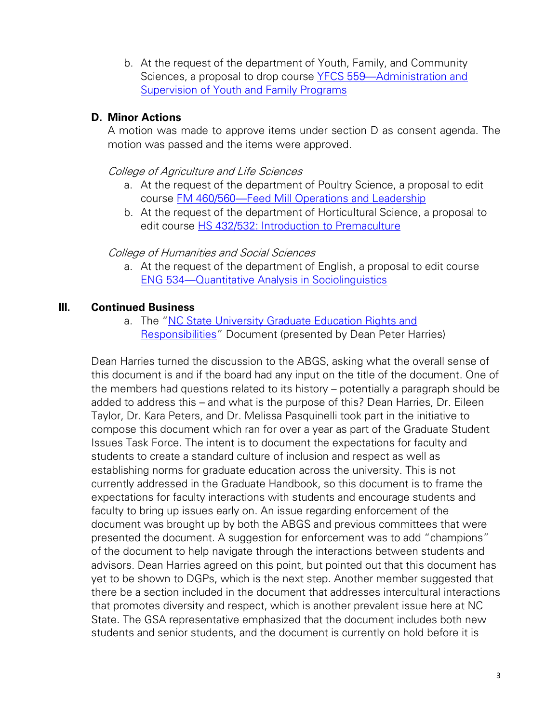b. At the request of the department of Youth, Family, and Community Sciences, a proposal to drop course YFCS 559—[Administration and](https://next-catalog.ncsu.edu/courseadmin/?key=6541)  [Supervision of Youth and Family Programs](https://next-catalog.ncsu.edu/courseadmin/?key=6541)

## **D. Minor Actions**

A motion was made to approve items under section D as consent agenda. The motion was passed and the items were approved.

College of Agriculture and Life Sciences

- a. At the request of the department of Poultry Science, a proposal to edit course FM 460/560—[Feed Mill Operations](https://next-catalog.ncsu.edu/courseadmin/?key=6363) and Leadership
- b. At the request of the department of Horticultural Science, a proposal to edit course [HS 432/532: Introduction to Premaculture](https://next-catalog.ncsu.edu/courseadmin/?key=3782)

### College of Humanities and Social Sciences

a. At the request of the department of English, a proposal to edit course ENG 534—[Quantitative Analysis in Sociolinguistics](https://next-catalog.ncsu.edu/courseadmin/?key=6750)

# **III. Continued Business**

a. The "NC State University Graduate Education Rights and [Responsibilities](https://docs.google.com/document/d/18K42O9TJ7rVHRh1jno89glx4gBEF2DkYejb1N-CjqZk/edit?usp=sharing)" Document (presented by Dean Peter Harries)

Dean Harries turned the discussion to the ABGS, asking what the overall sense of this document is and if the board had any input on the title of the document. One of the members had questions related to its history – potentially a paragraph should be added to address this – and what is the purpose of this? Dean Harries, Dr. Eileen Taylor, Dr. Kara Peters, and Dr. Melissa Pasquinelli took part in the initiative to compose this document which ran for over a year as part of the Graduate Student Issues Task Force. The intent is to document the expectations for faculty and students to create a standard culture of inclusion and respect as well as establishing norms for graduate education across the university. This is not currently addressed in the Graduate Handbook, so this document is to frame the expectations for faculty interactions with students and encourage students and faculty to bring up issues early on. An issue regarding enforcement of the document was brought up by both the ABGS and previous committees that were presented the document. A suggestion for enforcement was to add "champions" of the document to help navigate through the interactions between students and advisors. Dean Harries agreed on this point, but pointed out that this document has yet to be shown to DGPs, which is the next step. Another member suggested that there be a section included in the document that addresses intercultural interactions that promotes diversity and respect, which is another prevalent issue here at NC State. The GSA representative emphasized that the document includes both new students and senior students, and the document is currently on hold before it is